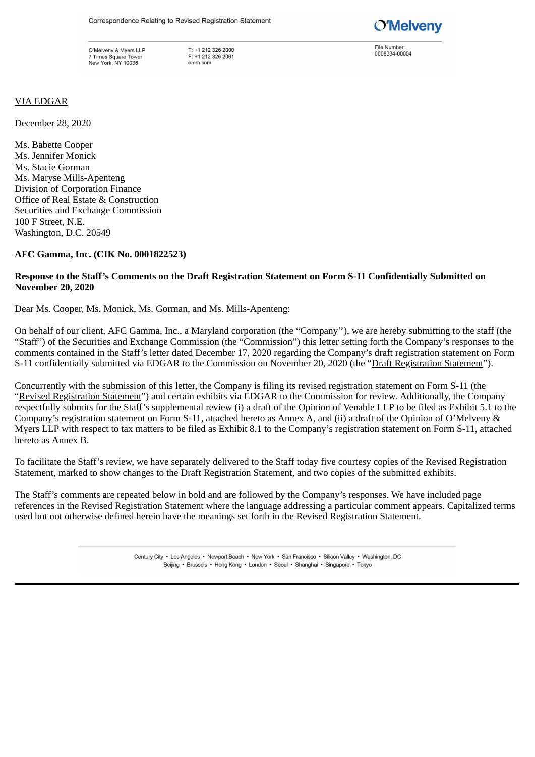O'Melveny & Myers LLP 7 Times Square Tower New York, NY 10036

T: +1 212 326 2000<br>F: +1 212 326 2061  $\alpha$ mm $\alpha$ m



File Number 0008334-00004

### VIA EDGAR

December 28, 2020

Ms. Babette Cooper Ms. Jennifer Monick Ms. Stacie Gorman Ms. Maryse Mills-Apenteng Division of Corporation Finance Office of Real Estate & Construction Securities and Exchange Commission 100 F Street, N.E. Washington, D.C. 20549

#### **AFC Gamma, Inc. (CIK No. 0001822523)**

### **Response to the Staff's Comments on the Draft Registration Statement on Form S-11 Confidentially Submitted on November 20, 2020**

Dear Ms. Cooper, Ms. Monick, Ms. Gorman, and Ms. Mills-Apenteng:

On behalf of our client, AFC Gamma, Inc., a Maryland corporation (the "Company"), we are hereby submitting to the staff (the "Staff") of the Securities and Exchange Commission (the "Commission") this letter setting forth the Company's responses to the comments contained in the Staff's letter dated December 17, 2020 regarding the Company's draft registration statement on Form S-11 confidentially submitted via EDGAR to the Commission on November 20, 2020 (the "Draft Registration Statement").

Concurrently with the submission of this letter, the Company is filing its revised registration statement on Form S-11 (the "Revised Registration Statement") and certain exhibits via EDGAR to the Commission for review. Additionally, the Company respectfully submits for the Staff's supplemental review (i) a draft of the Opinion of Venable LLP to be filed as Exhibit 5.1 to the Company's registration statement on Form S-11, attached hereto as Annex A, and (ii) a draft of the Opinion of O'Melveny & Myers LLP with respect to tax matters to be filed as Exhibit 8.1 to the Company's registration statement on Form S-11, attached hereto as Annex B.

To facilitate the Staff's review, we have separately delivered to the Staff today five courtesy copies of the Revised Registration Statement, marked to show changes to the Draft Registration Statement, and two copies of the submitted exhibits.

The Staff's comments are repeated below in bold and are followed by the Company's responses. We have included page references in the Revised Registration Statement where the language addressing a particular comment appears. Capitalized terms used but not otherwise defined herein have the meanings set forth in the Revised Registration Statement.

> Century City . Los Angeles . Newport Beach . New York . San Francisco . Silicon Valley . Washington, DC Beijing • Brussels • Hong Kong • London • Seoul • Shanghai • Singapore • Tokyo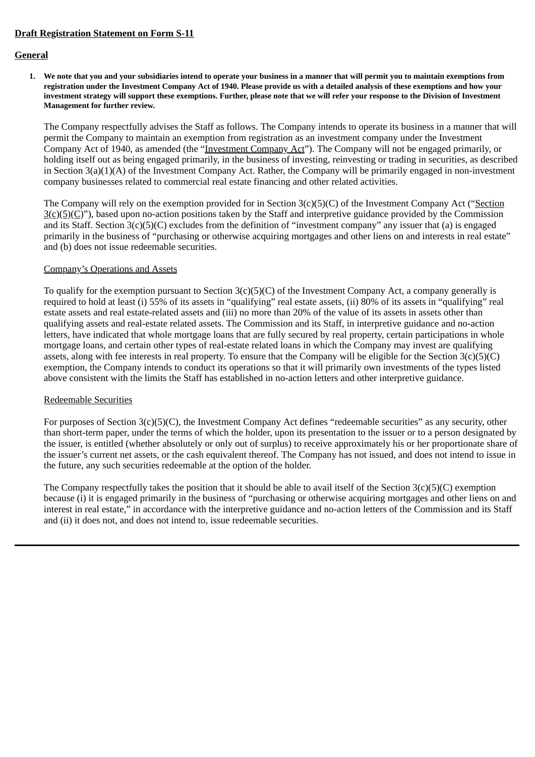### **Draft Registration Statement on Form S-11**

### **General**

1. We note that you and your subsidiaries intend to operate your business in a manner that will permit you to maintain exemptions from registration under the Investment Company Act of 1940. Please provide us with a detailed analysis of these exemptions and how your investment strategy will support these exemptions. Further, please note that we will refer your response to the Division of Investment **Management for further review.**

The Company respectfully advises the Staff as follows. The Company intends to operate its business in a manner that will permit the Company to maintain an exemption from registration as an investment company under the Investment Company Act of 1940, as amended (the "Investment Company Act"). The Company will not be engaged primarily, or holding itself out as being engaged primarily, in the business of investing, reinvesting or trading in securities, as described in Section 3(a)(1)(A) of the Investment Company Act. Rather, the Company will be primarily engaged in non-investment company businesses related to commercial real estate financing and other related activities.

The Company will rely on the exemption provided for in Section 3(c)(5)(C) of the Investment Company Act ("Section  $3(c)(5)(C)$ "), based upon no-action positions taken by the Staff and interpretive guidance provided by the Commission and its Staff. Section 3(c)(5)(C) excludes from the definition of "investment company" any issuer that (a) is engaged primarily in the business of "purchasing or otherwise acquiring mortgages and other liens on and interests in real estate" and (b) does not issue redeemable securities.

#### Company's Operations and Assets

To qualify for the exemption pursuant to Section 3(c)(5)(C) of the Investment Company Act, a company generally is required to hold at least (i) 55% of its assets in "qualifying" real estate assets, (ii) 80% of its assets in "qualifying" real estate assets and real estate-related assets and (iii) no more than 20% of the value of its assets in assets other than qualifying assets and real-estate related assets. The Commission and its Staff, in interpretive guidance and no-action letters, have indicated that whole mortgage loans that are fully secured by real property, certain participations in whole mortgage loans, and certain other types of real-estate related loans in which the Company may invest are qualifying assets, along with fee interests in real property. To ensure that the Company will be eligible for the Section 3(c)(5)(C) exemption, the Company intends to conduct its operations so that it will primarily own investments of the types listed above consistent with the limits the Staff has established in no-action letters and other interpretive guidance.

### Redeemable Securities

For purposes of Section 3(c)(5)(C), the Investment Company Act defines "redeemable securities" as any security, other than short-term paper, under the terms of which the holder, upon its presentation to the issuer or to a person designated by the issuer, is entitled (whether absolutely or only out of surplus) to receive approximately his or her proportionate share of the issuer's current net assets, or the cash equivalent thereof. The Company has not issued, and does not intend to issue in the future, any such securities redeemable at the option of the holder.

The Company respectfully takes the position that it should be able to avail itself of the Section 3(c)(5)(C) exemption because (i) it is engaged primarily in the business of "purchasing or otherwise acquiring mortgages and other liens on and interest in real estate," in accordance with the interpretive guidance and no-action letters of the Commission and its Staff and (ii) it does not, and does not intend to, issue redeemable securities.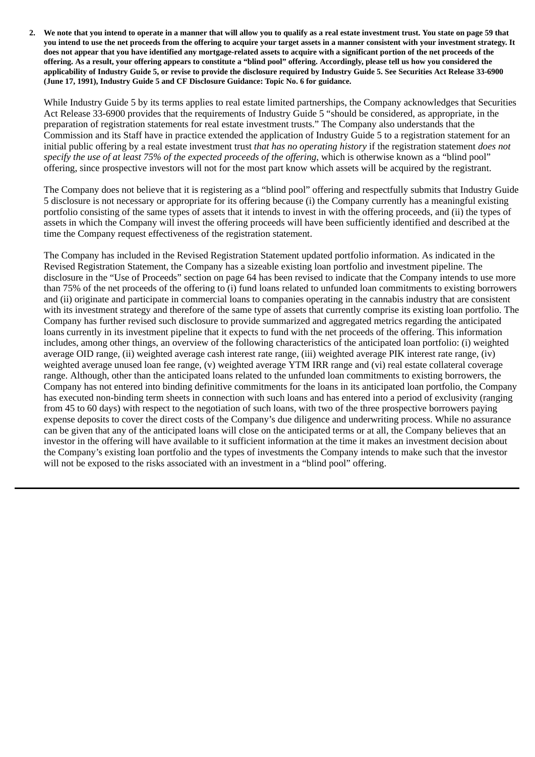2. We note that you intend to operate in a manner that will allow you to qualify as a real estate investment trust. You state on page 59 that you intend to use the net proceeds from the offering to acquire your target assets in a manner consistent with your investment strategy. It does not appear that you have identified any mortgage-related assets to acquire with a significant portion of the net proceeds of the offering. As a result, your offering appears to constitute a "blind pool" offering. Accordingly, please tell us how you considered the applicability of Industry Guide 5, or revise to provide the disclosure required by Industry Guide 5. See Securities Act Release 33-6900 **(June 17, 1991), Industry Guide 5 and CF Disclosure Guidance: Topic No. 6 for guidance.**

While Industry Guide 5 by its terms applies to real estate limited partnerships, the Company acknowledges that Securities Act Release 33-6900 provides that the requirements of Industry Guide 5 "should be considered, as appropriate, in the preparation of registration statements for real estate investment trusts." The Company also understands that the Commission and its Staff have in practice extended the application of Industry Guide 5 to a registration statement for an initial public offering by a real estate investment trust *that has no operating history* if the registration statement *does not specify the use of at least 75% of the expected proceeds of the offering*, which is otherwise known as a "blind pool" offering, since prospective investors will not for the most part know which assets will be acquired by the registrant.

The Company does not believe that it is registering as a "blind pool" offering and respectfully submits that Industry Guide 5 disclosure is not necessary or appropriate for its offering because (i) the Company currently has a meaningful existing portfolio consisting of the same types of assets that it intends to invest in with the offering proceeds, and (ii) the types of assets in which the Company will invest the offering proceeds will have been sufficiently identified and described at the time the Company request effectiveness of the registration statement.

The Company has included in the Revised Registration Statement updated portfolio information. As indicated in the Revised Registration Statement, the Company has a sizeable existing loan portfolio and investment pipeline. The disclosure in the "Use of Proceeds" section on page 64 has been revised to indicate that the Company intends to use more than 75% of the net proceeds of the offering to (i) fund loans related to unfunded loan commitments to existing borrowers and (ii) originate and participate in commercial loans to companies operating in the cannabis industry that are consistent with its investment strategy and therefore of the same type of assets that currently comprise its existing loan portfolio. The Company has further revised such disclosure to provide summarized and aggregated metrics regarding the anticipated loans currently in its investment pipeline that it expects to fund with the net proceeds of the offering. This information includes, among other things, an overview of the following characteristics of the anticipated loan portfolio: (i) weighted average OID range, (ii) weighted average cash interest rate range, (iii) weighted average PIK interest rate range, (iv) weighted average unused loan fee range, (v) weighted average YTM IRR range and (vi) real estate collateral coverage range. Although, other than the anticipated loans related to the unfunded loan commitments to existing borrowers, the Company has not entered into binding definitive commitments for the loans in its anticipated loan portfolio, the Company has executed non-binding term sheets in connection with such loans and has entered into a period of exclusivity (ranging from 45 to 60 days) with respect to the negotiation of such loans, with two of the three prospective borrowers paying expense deposits to cover the direct costs of the Company's due diligence and underwriting process. While no assurance can be given that any of the anticipated loans will close on the anticipated terms or at all, the Company believes that an investor in the offering will have available to it sufficient information at the time it makes an investment decision about the Company's existing loan portfolio and the types of investments the Company intends to make such that the investor will not be exposed to the risks associated with an investment in a "blind pool" offering.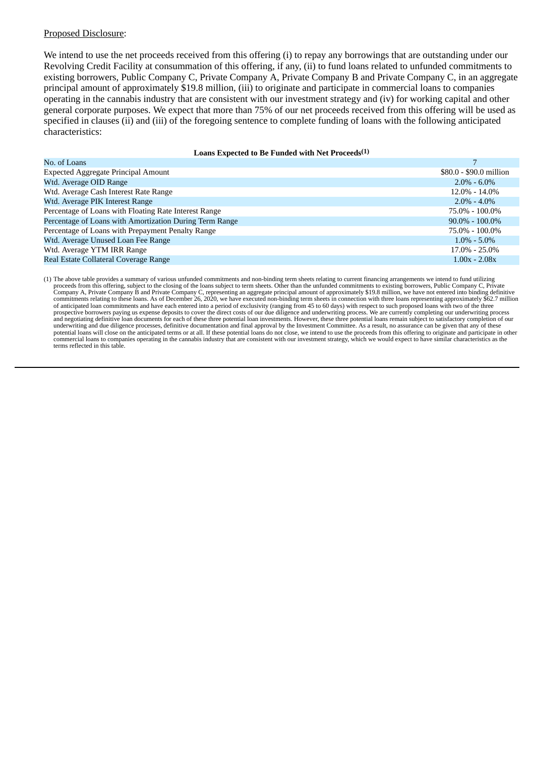We intend to use the net proceeds received from this offering (i) to repay any borrowings that are outstanding under our Revolving Credit Facility at consummation of this offering, if any, (ii) to fund loans related to unfunded commitments to existing borrowers, Public Company C, Private Company A, Private Company B and Private Company C, in an aggregate principal amount of approximately \$19.8 million, (iii) to originate and participate in commercial loans to companies operating in the cannabis industry that are consistent with our investment strategy and (iv) for working capital and other general corporate purposes. We expect that more than 75% of our net proceeds received from this offering will be used as specified in clauses (ii) and (iii) of the foregoing sentence to complete funding of loans with the following anticipated characteristics:

#### **Loans Expected to Be Funded with Net Proceeds (1)**

| No. of Loans                                            |                         |
|---------------------------------------------------------|-------------------------|
| <b>Expected Aggregate Principal Amount</b>              | \$80.0 - \$90.0 million |
| Wtd. Average OID Range                                  | $2.0\% - 6.0\%$         |
| Wtd. Average Cash Interest Rate Range                   | $12.0\% - 14.0\%$       |
| Wtd. Average PIK Interest Range                         | $2.0\% - 4.0\%$         |
| Percentage of Loans with Floating Rate Interest Range   | 75.0% - 100.0%          |
| Percentage of Loans with Amortization During Term Range | $90.0\% - 100.0\%$      |
| Percentage of Loans with Prepayment Penalty Range       | 75.0% - 100.0%          |
| Wtd. Average Unused Loan Fee Range                      | $1.0\% - 5.0\%$         |
| Wtd. Average YTM IRR Range                              | $17.0\% - 25.0\%$       |
| Real Estate Collateral Coverage Range                   | $1.00x - 2.08x$         |

(1) The above table provides a summary of various unfunded commitments and non-binding term sheets relating to current financing arrangements we intend to fund utilizing proceeds from this offering, subject to the closing of the loans subject to term sheets. Other than the unfunded commitments to existing borrowers, Public Company C, Private<br>Company A, Private Company B and Private Company commitments relating to these loans. As of December 26, 2020, we have executed non-binding term sheets in connection with three loans representing approximately \$62.7 million of anticipated loan commitments and have each entered into a period of exclusivity (ranging from 45 to 60 days) with respect to such proposed loans with two of the three<br>prospective borrowers paying us expense deposits to and negotiating definitive loan documents for each of these three potential loan investments. However, these three potential loans remain subject to satisfactory completion of our<br>underwriting and due diligence processes, commercial loans to companies operating in the cannabis industry that are consistent with our investment strategy, which we would expect to have similar characteristics as the terms reflected in this table.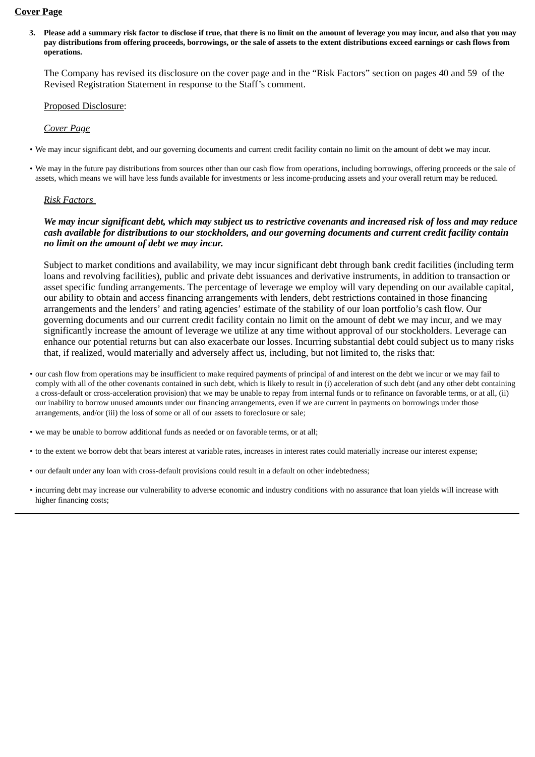#### **Cover Page**

3. Please add a summary risk factor to disclose if true, that there is no limit on the amount of leverage you may incur, and also that you may pay distributions from offering proceeds, borrowings, or the sale of assets to the extent distributions exceed earnings or cash flows from **operations.**

The Company has revised its disclosure on the cover page and in the "Risk Factors" section on pages 40 and 59 of the Revised Registration Statement in response to the Staff's comment.

### Proposed Disclosure:

### *Cover Page*

- We may incur significant debt, and our governing documents and current credit facility contain no limit on the amount of debt we may incur.
- We may in the future pay distributions from sources other than our cash flow from operations, including borrowings, offering proceeds or the sale of assets, which means we will have less funds available for investments or less income-producing assets and your overall return may be reduced.

#### *Risk Factors*

### *We may incur significant debt, which may subject us to restrictive covenants and increased risk of loss and may reduce cash available for distributions to our stockholders, and our governing documents and current credit facility contain no limit on the amount of debt we may incur.*

Subject to market conditions and availability, we may incur significant debt through bank credit facilities (including term loans and revolving facilities), public and private debt issuances and derivative instruments, in addition to transaction or asset specific funding arrangements. The percentage of leverage we employ will vary depending on our available capital, our ability to obtain and access financing arrangements with lenders, debt restrictions contained in those financing arrangements and the lenders' and rating agencies' estimate of the stability of our loan portfolio's cash flow. Our governing documents and our current credit facility contain no limit on the amount of debt we may incur, and we may significantly increase the amount of leverage we utilize at any time without approval of our stockholders. Leverage can enhance our potential returns but can also exacerbate our losses. Incurring substantial debt could subject us to many risks that, if realized, would materially and adversely affect us, including, but not limited to, the risks that:

- our cash flow from operations may be insufficient to make required payments of principal of and interest on the debt we incur or we may fail to comply with all of the other covenants contained in such debt, which is likely to result in (i) acceleration of such debt (and any other debt containing a cross-default or cross-acceleration provision) that we may be unable to repay from internal funds or to refinance on favorable terms, or at all, (ii) our inability to borrow unused amounts under our financing arrangements, even if we are current in payments on borrowings under those arrangements, and/or (iii) the loss of some or all of our assets to foreclosure or sale;
- we may be unable to borrow additional funds as needed or on favorable terms, or at all;
- to the extent we borrow debt that bears interest at variable rates, increases in interest rates could materially increase our interest expense;
- our default under any loan with cross-default provisions could result in a default on other indebtedness;
- incurring debt may increase our vulnerability to adverse economic and industry conditions with no assurance that loan yields will increase with higher financing costs;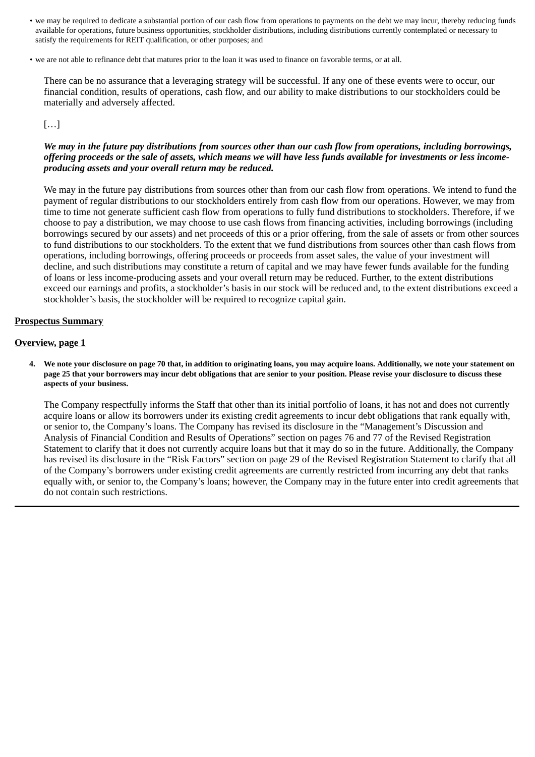- we may be required to dedicate a substantial portion of our cash flow from operations to payments on the debt we may incur, thereby reducing funds available for operations, future business opportunities, stockholder distributions, including distributions currently contemplated or necessary to satisfy the requirements for REIT qualification, or other purposes; and
- we are not able to refinance debt that matures prior to the loan it was used to finance on favorable terms, or at all.

There can be no assurance that a leveraging strategy will be successful. If any one of these events were to occur, our financial condition, results of operations, cash flow, and our ability to make distributions to our stockholders could be materially and adversely affected.

## $[...]$

### *We may in the future pay distributions from sources other than our cash flow from operations, including borrowings, offering proceeds or the sale of assets, which means we will have less funds available for investments or less incomeproducing assets and your overall return may be reduced.*

We may in the future pay distributions from sources other than from our cash flow from operations. We intend to fund the payment of regular distributions to our stockholders entirely from cash flow from our operations. However, we may from time to time not generate sufficient cash flow from operations to fully fund distributions to stockholders. Therefore, if we choose to pay a distribution, we may choose to use cash flows from financing activities, including borrowings (including borrowings secured by our assets) and net proceeds of this or a prior offering, from the sale of assets or from other sources to fund distributions to our stockholders. To the extent that we fund distributions from sources other than cash flows from operations, including borrowings, offering proceeds or proceeds from asset sales, the value of your investment will decline, and such distributions may constitute a return of capital and we may have fewer funds available for the funding of loans or less income-producing assets and your overall return may be reduced. Further, to the extent distributions exceed our earnings and profits, a stockholder's basis in our stock will be reduced and, to the extent distributions exceed a stockholder's basis, the stockholder will be required to recognize capital gain.

#### **Prospectus Summary**

#### **Overview, page 1**

4. We note your disclosure on page 70 that, in addition to originating loans, you may acquire loans. Additionally, we note your statement on page 25 that your borrowers may incur debt obligations that are senior to your position. Please revise your disclosure to discuss these **aspects of your business.**

The Company respectfully informs the Staff that other than its initial portfolio of loans, it has not and does not currently acquire loans or allow its borrowers under its existing credit agreements to incur debt obligations that rank equally with, or senior to, the Company's loans. The Company has revised its disclosure in the "Management's Discussion and Analysis of Financial Condition and Results of Operations" section on pages 76 and 77 of the Revised Registration Statement to clarify that it does not currently acquire loans but that it may do so in the future. Additionally, the Company has revised its disclosure in the "Risk Factors" section on page 29 of the Revised Registration Statement to clarify that all of the Company's borrowers under existing credit agreements are currently restricted from incurring any debt that ranks equally with, or senior to, the Company's loans; however, the Company may in the future enter into credit agreements that do not contain such restrictions.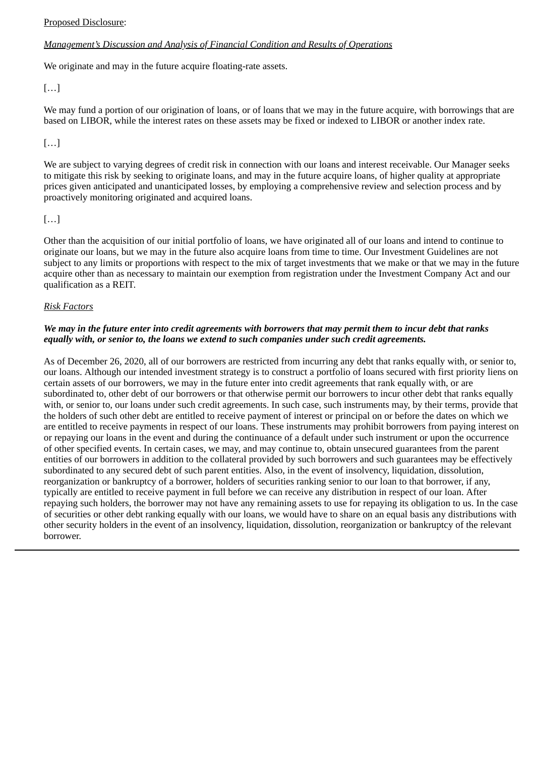## *Management's Discussion and Analysis of Financial Condition and Results of Operations*

We originate and may in the future acquire floating-rate assets.

 $[...]$ 

We may fund a portion of our origination of loans, or of loans that we may in the future acquire, with borrowings that are based on LIBOR, while the interest rates on these assets may be fixed or indexed to LIBOR or another index rate.

# […]

We are subject to varying degrees of credit risk in connection with our loans and interest receivable. Our Manager seeks to mitigate this risk by seeking to originate loans, and may in the future acquire loans, of higher quality at appropriate prices given anticipated and unanticipated losses, by employing a comprehensive review and selection process and by proactively monitoring originated and acquired loans.

# $[...]$

Other than the acquisition of our initial portfolio of loans, we have originated all of our loans and intend to continue to originate our loans, but we may in the future also acquire loans from time to time. Our Investment Guidelines are not subject to any limits or proportions with respect to the mix of target investments that we make or that we may in the future acquire other than as necessary to maintain our exemption from registration under the Investment Company Act and our qualification as a REIT.

## *Risk Factors*

## *We may in the future enter into credit agreements with borrowers that may permit them to incur debt that ranks equally with, or senior to, the loans we extend to such companies under such credit agreements.*

As of December 26, 2020, all of our borrowers are restricted from incurring any debt that ranks equally with, or senior to, our loans. Although our intended investment strategy is to construct a portfolio of loans secured with first priority liens on certain assets of our borrowers, we may in the future enter into credit agreements that rank equally with, or are subordinated to, other debt of our borrowers or that otherwise permit our borrowers to incur other debt that ranks equally with, or senior to, our loans under such credit agreements. In such case, such instruments may, by their terms, provide that the holders of such other debt are entitled to receive payment of interest or principal on or before the dates on which we are entitled to receive payments in respect of our loans. These instruments may prohibit borrowers from paying interest on or repaying our loans in the event and during the continuance of a default under such instrument or upon the occurrence of other specified events. In certain cases, we may, and may continue to, obtain unsecured guarantees from the parent entities of our borrowers in addition to the collateral provided by such borrowers and such guarantees may be effectively subordinated to any secured debt of such parent entities. Also, in the event of insolvency, liquidation, dissolution, reorganization or bankruptcy of a borrower, holders of securities ranking senior to our loan to that borrower, if any, typically are entitled to receive payment in full before we can receive any distribution in respect of our loan. After repaying such holders, the borrower may not have any remaining assets to use for repaying its obligation to us. In the case of securities or other debt ranking equally with our loans, we would have to share on an equal basis any distributions with other security holders in the event of an insolvency, liquidation, dissolution, reorganization or bankruptcy of the relevant borrower.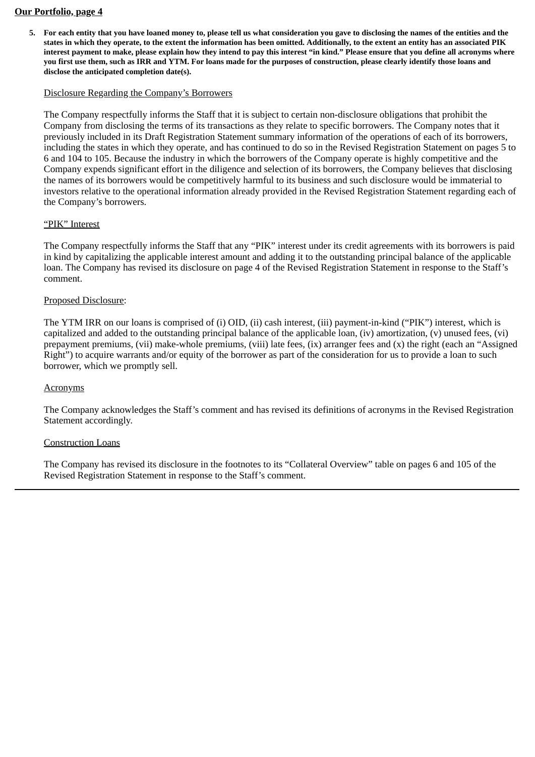#### **Our Portfolio, page 4**

5. For each entity that you have loaned money to, please tell us what consideration you gave to disclosing the names of the entities and the states in which they operate, to the extent the information has been omitted. Additionally, to the extent an entity has an associated PIK interest payment to make, please explain how they intend to pay this interest "in kind." Please ensure that you define all acronyms where you first use them, such as IRR and YTM. For loans made for the purposes of construction, please clearly identify those loans and **disclose the anticipated completion date(s).**

### Disclosure Regarding the Company's Borrowers

The Company respectfully informs the Staff that it is subject to certain non-disclosure obligations that prohibit the Company from disclosing the terms of its transactions as they relate to specific borrowers. The Company notes that it previously included in its Draft Registration Statement summary information of the operations of each of its borrowers, including the states in which they operate, and has continued to do so in the Revised Registration Statement on pages 5 to 6 and 104 to 105. Because the industry in which the borrowers of the Company operate is highly competitive and the Company expends significant effort in the diligence and selection of its borrowers, the Company believes that disclosing the names of its borrowers would be competitively harmful to its business and such disclosure would be immaterial to investors relative to the operational information already provided in the Revised Registration Statement regarding each of the Company's borrowers.

#### "PIK" Interest

The Company respectfully informs the Staff that any "PIK" interest under its credit agreements with its borrowers is paid in kind by capitalizing the applicable interest amount and adding it to the outstanding principal balance of the applicable loan. The Company has revised its disclosure on page 4 of the Revised Registration Statement in response to the Staff's comment.

#### Proposed Disclosure:

The YTM IRR on our loans is comprised of (i) OID, (ii) cash interest, (iii) payment-in-kind ("PIK") interest, which is capitalized and added to the outstanding principal balance of the applicable loan, (iv) amortization, (v) unused fees, (vi) prepayment premiums, (vii) make-whole premiums, (viii) late fees, (ix) arranger fees and (x) the right (each an "Assigned Right") to acquire warrants and/or equity of the borrower as part of the consideration for us to provide a loan to such borrower, which we promptly sell.

### **Acronyms**

The Company acknowledges the Staff's comment and has revised its definitions of acronyms in the Revised Registration Statement accordingly.

#### Construction Loans

The Company has revised its disclosure in the footnotes to its "Collateral Overview" table on pages 6 and 105 of the Revised Registration Statement in response to the Staff's comment.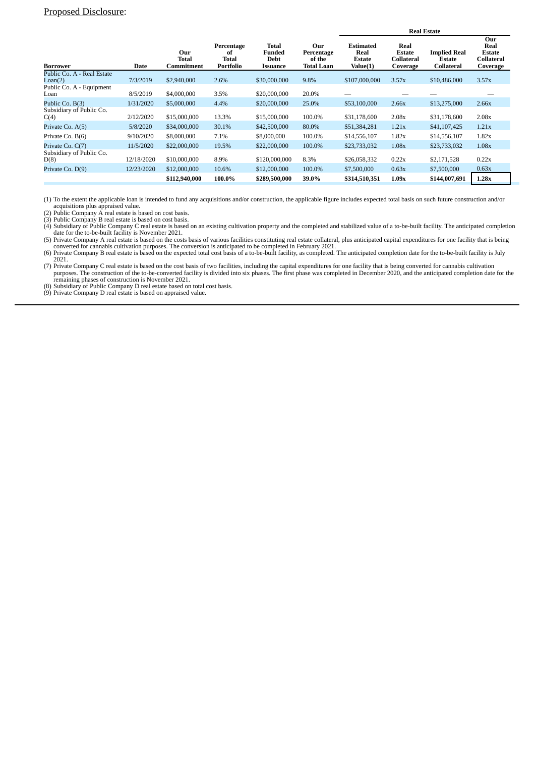|                                             |            |                            |                                        | <b>Real Estate</b>                  |                                                  |                                                       |                                                        |                                                    |                                                        |
|---------------------------------------------|------------|----------------------------|----------------------------------------|-------------------------------------|--------------------------------------------------|-------------------------------------------------------|--------------------------------------------------------|----------------------------------------------------|--------------------------------------------------------|
| <b>Borrower</b>                             | Date       | Our<br>Total<br>Commitment | Percentage<br>of<br>Total<br>Portfolio | Total<br>Funded<br>Debt<br>Issuance | Our<br>Percentage<br>of the<br><b>Total Loan</b> | <b>Estimated</b><br>Real<br><b>Estate</b><br>Value(1) | Real<br><b>Estate</b><br><b>Collateral</b><br>Coverage | <b>Implied Real</b><br><b>Estate</b><br>Collateral | Our<br>Real<br><b>Estate</b><br>Collateral<br>Coverage |
| Public Co. A - Real Estate<br>Lean(2)       | 7/3/2019   | \$2,940,000                | 2.6%                                   | \$30,000,000                        | 9.8%                                             | \$107,000,000                                         | 3.57x                                                  | \$10,486,000                                       | 3.57x                                                  |
| Public Co. A - Equipment<br>Loan            | 8/5/2019   | \$4,000,000                | 3.5%                                   | \$20,000,000                        | 20.0%                                            |                                                       |                                                        |                                                    |                                                        |
| Public Co. B(3)<br>Subsidiary of Public Co. | 1/31/2020  | \$5,000,000                | 4.4%                                   | \$20,000,000                        | 25.0%                                            | \$53,100,000                                          | 2.66x                                                  | \$13,275,000                                       | 2.66x                                                  |
| C(4)                                        | 2/12/2020  | \$15,000,000               | 13.3%                                  | \$15,000,000                        | 100.0%                                           | \$31,178,600                                          | 2.08x                                                  | \$31,178,600                                       | 2.08x                                                  |
| Private Co. A(5)                            | 5/8/2020   | \$34,000,000               | 30.1%                                  | \$42,500,000                        | 80.0%                                            | \$51,384,281                                          | 1.21x                                                  | \$41,107,425                                       | 1.21x                                                  |
| Private Co. B(6)                            | 9/10/2020  | \$8,000,000                | 7.1%                                   | \$8,000,000                         | 100.0%                                           | \$14,556,107                                          | 1.82x                                                  | \$14,556,107                                       | 1.82x                                                  |
| Private Co. C(7)                            | 11/5/2020  | \$22,000,000               | 19.5%                                  | \$22,000,000                        | 100.0%                                           | \$23,733,032                                          | 1.08x                                                  | \$23,733,032                                       | 1.08x                                                  |
| Subsidiary of Public Co.<br>D(8)            | 12/18/2020 | \$10,000,000               | 8.9%                                   | \$120,000,000                       | 8.3%                                             | \$26,058,332                                          | 0.22x                                                  | \$2,171,528                                        | 0.22x                                                  |
| Private Co. D(9)                            | 12/23/2020 | \$12,000,000               | 10.6%                                  | \$12,000,000                        | 100.0%                                           | \$7,500,000                                           | 0.63x                                                  | \$7,500,000                                        | 0.63x                                                  |
|                                             |            | \$112,940,000              | 100.0%                                 | \$289,500,000                       | 39.0%                                            | \$314,510,351                                         | 1.09x                                                  | \$144,007,691                                      | 1.28x                                                  |

(1) To the extent the applicable loan is intended to fund any acquisitions and/or construction, the applicable figure includes expected total basis on such future construction and/or

acquisitions plus appraised value. (2) Public Company A real estate is based on cost basis. (3) Public Company B real estate is based on cost basis.

(4) Subsidiary of Public Company C real estate is based on an existing cultivation property and the completed and stabilized value of a to-be-built facility. The anticipated completion<br>date for the to-be-built facility is

converted for cannabis cultivation purposes. The conversion is anticipated to be completed in February 2021.<br>(6) Private Company B real estate is based on the expected total cost basis of a to-be-built facility, as complet

2021.<br>
(7) Private Company C real estate is based on the cost basis of two facilities, including the capital expenditures for one facility that is being converted for cannabis cultivation<br>
purposes. The construction of the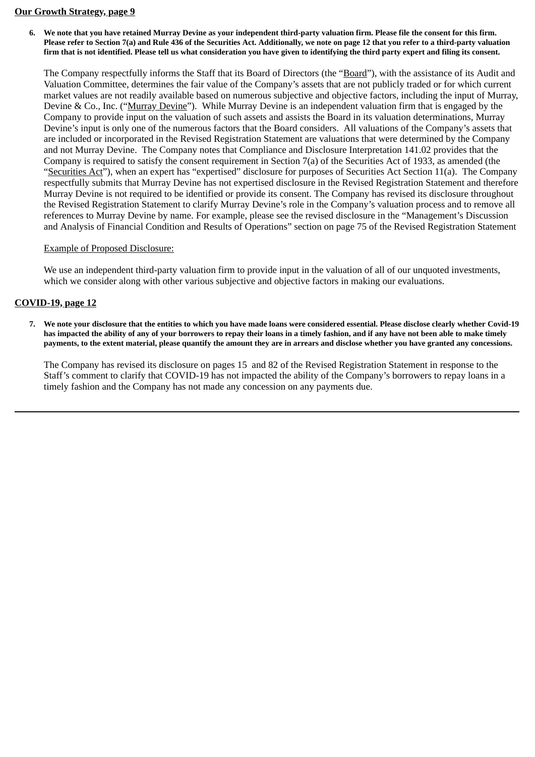#### **Our Growth Strategy, page 9**

6. We note that you have retained Murray Devine as your independent third-party valuation firm. Please file the consent for this firm. Please refer to Section 7(a) and Rule 436 of the Securities Act. Additionally, we note on page 12 that you refer to a third-party valuation firm that is not identified. Please tell us what consideration you have given to identifying the third party expert and filing its consent.

The Company respectfully informs the Staff that its Board of Directors (the "Board"), with the assistance of its Audit and Valuation Committee, determines the fair value of the Company's assets that are not publicly traded or for which current market values are not readily available based on numerous subjective and objective factors, including the input of Murray, Devine & Co., Inc. ("Murray Devine"). While Murray Devine is an independent valuation firm that is engaged by the Company to provide input on the valuation of such assets and assists the Board in its valuation determinations, Murray Devine's input is only one of the numerous factors that the Board considers. All valuations of the Company's assets that are included or incorporated in the Revised Registration Statement are valuations that were determined by the Company and not Murray Devine. The Company notes that Compliance and Disclosure Interpretation 141.02 provides that the Company is required to satisfy the consent requirement in Section 7(a) of the Securities Act of 1933, as amended (the "Securities Act"), when an expert has "expertised" disclosure for purposes of Securities Act Section 11(a). The Company respectfully submits that Murray Devine has not expertised disclosure in the Revised Registration Statement and therefore Murray Devine is not required to be identified or provide its consent. The Company has revised its disclosure throughout the Revised Registration Statement to clarify Murray Devine's role in the Company's valuation process and to remove all references to Murray Devine by name. For example, please see the revised disclosure in the "Management's Discussion and Analysis of Financial Condition and Results of Operations" section on page 75 of the Revised Registration Statement

## Example of Proposed Disclosure:

We use an independent third-party valuation firm to provide input in the valuation of all of our unquoted investments, which we consider along with other various subjective and objective factors in making our evaluations.

# **COVID-19, page 12**

7. We note your disclosure that the entities to which you have made loans were considered essential. Please disclose clearly whether Covid-19 has impacted the ability of any of your borrowers to repay their loans in a timely fashion, and if any have not been able to make timely payments, to the extent material, please quantify the amount they are in arrears and disclose whether you have granted any concessions.

The Company has revised its disclosure on pages 15 and 82 of the Revised Registration Statement in response to the Staff's comment to clarify that COVID-19 has not impacted the ability of the Company's borrowers to repay loans in a timely fashion and the Company has not made any concession on any payments due.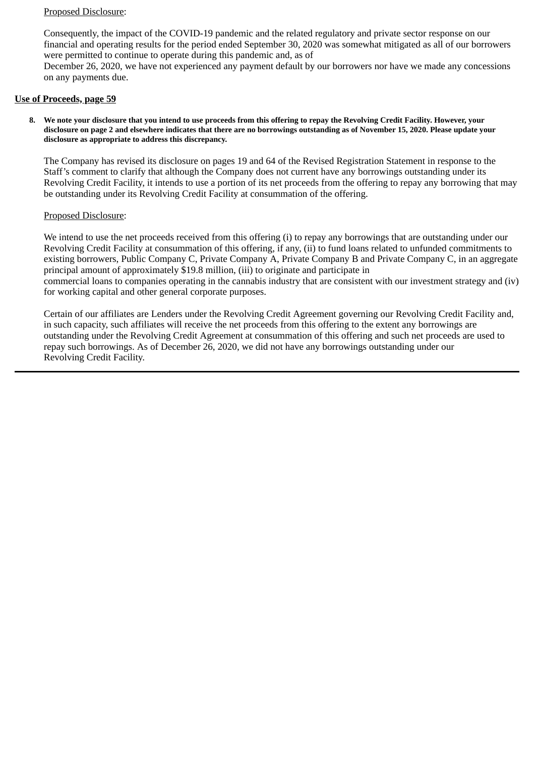Consequently, the impact of the COVID-19 pandemic and the related regulatory and private sector response on our financial and operating results for the period ended September 30, 2020 was somewhat mitigated as all of our borrowers were permitted to continue to operate during this pandemic and, as of December 26, 2020, we have not experienced any payment default by our borrowers nor have we made any concessions on any payments due.

### **Use of Proceeds, page 59**

8. We note your disclosure that you intend to use proceeds from this offering to repay the Revolving Credit Facility. However, your disclosure on page 2 and elsewhere indicates that there are no borrowings outstanding as of November 15, 2020. Please update your **disclosure as appropriate to address this discrepancy.**

The Company has revised its disclosure on pages 19 and 64 of the Revised Registration Statement in response to the Staff's comment to clarify that although the Company does not current have any borrowings outstanding under its Revolving Credit Facility, it intends to use a portion of its net proceeds from the offering to repay any borrowing that may be outstanding under its Revolving Credit Facility at consummation of the offering.

### Proposed Disclosure:

We intend to use the net proceeds received from this offering (i) to repay any borrowings that are outstanding under our Revolving Credit Facility at consummation of this offering, if any, (ii) to fund loans related to unfunded commitments to existing borrowers, Public Company C, Private Company A, Private Company B and Private Company C, in an aggregate principal amount of approximately \$19.8 million, (iii) to originate and participate in commercial loans to companies operating in the cannabis industry that are consistent with our investment strategy and (iv) for working capital and other general corporate purposes.

Certain of our affiliates are Lenders under the Revolving Credit Agreement governing our Revolving Credit Facility and, in such capacity, such affiliates will receive the net proceeds from this offering to the extent any borrowings are outstanding under the Revolving Credit Agreement at consummation of this offering and such net proceeds are used to repay such borrowings. As of December 26, 2020, we did not have any borrowings outstanding under our Revolving Credit Facility.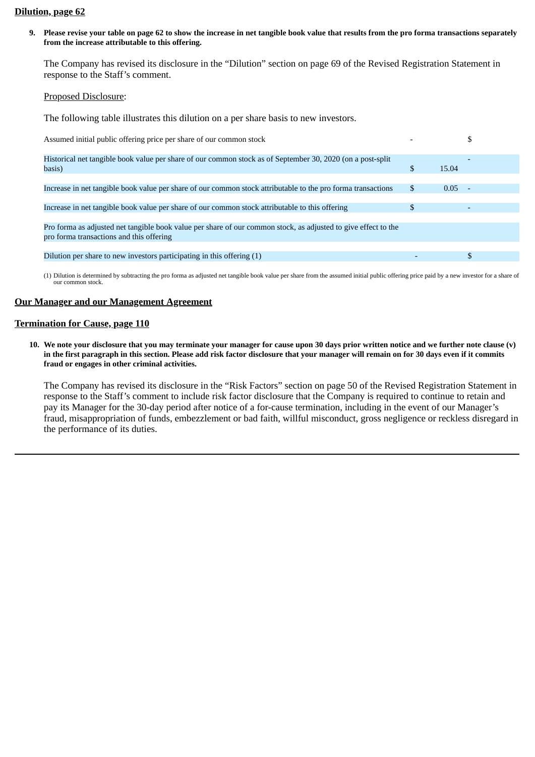#### **Dilution, page 62**

9. Please revise your table on page 62 to show the increase in net tangible book value that results from the pro forma transactions separately **from the increase attributable to this offering.**

The Company has revised its disclosure in the "Dilution" section on page 69 of the Revised Registration Statement in response to the Staff's comment.

#### Proposed Disclosure:

The following table illustrates this dilution on a per share basis to new investors.

| Assumed initial public offering price per share of our common stock                                                                                        |    |                |
|------------------------------------------------------------------------------------------------------------------------------------------------------------|----|----------------|
| Historical net tangible book value per share of our common stock as of September 30, 2020 (on a post-split<br>basis)                                       |    | 15.04          |
| Increase in net tangible book value per share of our common stock attributable to the pro forma transactions                                               | S  | 0.05<br>$\sim$ |
| Increase in net tangible book value per share of our common stock attributable to this offering                                                            | \$ |                |
| Pro forma as adjusted net tangible book value per share of our common stock, as adjusted to give effect to the<br>pro forma transactions and this offering |    |                |
| Dilution per share to new investors participating in this offering (1)                                                                                     |    |                |

(1) Dilution is determined by subtracting the pro forma as adjusted net tangible book value per share from the assumed initial public offering price paid by a new investor for a share of our common stock.

#### **Our Manager and our Management Agreement**

#### **Termination for Cause, page 110**

10. We note your disclosure that you may terminate your manager for cause upon 30 days prior written notice and we further note clause (v) in the first paragraph in this section. Please add risk factor disclosure that your manager will remain on for 30 days even if it commits **fraud or engages in other criminal activities.**

The Company has revised its disclosure in the "Risk Factors" section on page 50 of the Revised Registration Statement in response to the Staff's comment to include risk factor disclosure that the Company is required to continue to retain and pay its Manager for the 30-day period after notice of a for-cause termination, including in the event of our Manager's fraud, misappropriation of funds, embezzlement or bad faith, willful misconduct, gross negligence or reckless disregard in the performance of its duties.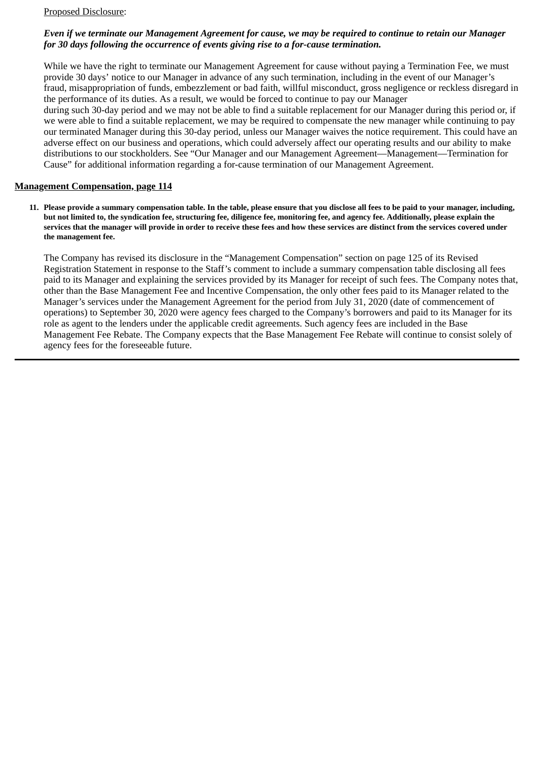## *Even if we terminate our Management Agreement for cause, we may be required to continue to retain our Manager for 30 days following the occurrence of events giving rise to a for-cause termination.*

While we have the right to terminate our Management Agreement for cause without paying a Termination Fee, we must provide 30 days' notice to our Manager in advance of any such termination, including in the event of our Manager's fraud, misappropriation of funds, embezzlement or bad faith, willful misconduct, gross negligence or reckless disregard in the performance of its duties. As a result, we would be forced to continue to pay our Manager

during such 30-day period and we may not be able to find a suitable replacement for our Manager during this period or, if we were able to find a suitable replacement, we may be required to compensate the new manager while continuing to pay our terminated Manager during this 30-day period, unless our Manager waives the notice requirement. This could have an adverse effect on our business and operations, which could adversely affect our operating results and our ability to make distributions to our stockholders. See "Our Manager and our Management Agreement—Management—Termination for Cause" for additional information regarding a for-cause termination of our Management Agreement.

### **Management Compensation, page 114**

11. Please provide a summary compensation table. In the table, please ensure that you disclose all fees to be paid to your manager, including, but not limited to, the syndication fee, structuring fee, diligence fee, monitoring fee, and agency fee. Additionally, please explain the services that the manager will provide in order to receive these fees and how these services are distinct from the services covered under **the management fee.**

The Company has revised its disclosure in the "Management Compensation" section on page 125 of its Revised Registration Statement in response to the Staff's comment to include a summary compensation table disclosing all fees paid to its Manager and explaining the services provided by its Manager for receipt of such fees. The Company notes that, other than the Base Management Fee and Incentive Compensation, the only other fees paid to its Manager related to the Manager's services under the Management Agreement for the period from July 31, 2020 (date of commencement of operations) to September 30, 2020 were agency fees charged to the Company's borrowers and paid to its Manager for its role as agent to the lenders under the applicable credit agreements. Such agency fees are included in the Base Management Fee Rebate. The Company expects that the Base Management Fee Rebate will continue to consist solely of agency fees for the foreseeable future.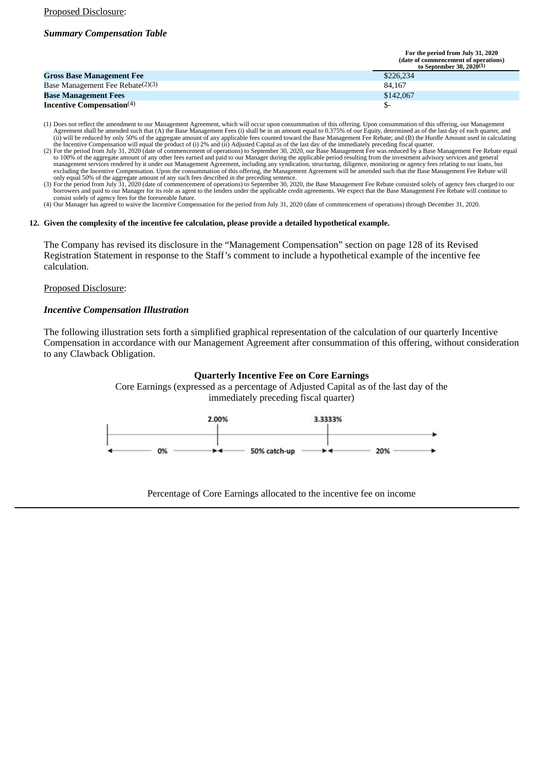## *Summary Compensation Table*

| For the period from July 31, 2020    |
|--------------------------------------|
| (date of commencement of operations) |
| to September 30, 2020(1)             |

|                                              | w эспешост эл. zuzu. |
|----------------------------------------------|----------------------|
| <b>Gross Base Management Fee</b>             | \$226,234            |
| Base Management Fee Rebate <sup>(2)(3)</sup> | 84.167               |
| <b>Base Management Fees</b>                  | \$142,067            |
| Incentive Compensation $(4)$                 |                      |

- (1) Does not reflect the amendment to our Management Agreement, which will occur upon consummation of this offering. Upon consummation of this offering, our Management Agreement Agreement our Management Fees (i) shall be
- (2) For the period from July 31, 2020 (date of commencement of operations) to September 30, 2020, our Base Management Fee was reduced by a Base Management Fee Rebate equal (2) For the period from July 31, 2020 (date of com to 100% of the aggregate amount of any other fees earned and paid to our Manager during the applicable period resulting from the investment advisory services and general<br>management services rendered by it under our Managem excluding the Incentive Compensation. Upon the consummation of this offering, the Management Agreement will be amended such that the Base Management Fee Rebate will
- only equal 50% of the aggregate amount of any such fees described in the preceding sentence.<br>(3) For the period from July 31, 2020 (date of commencement of operations) to September 30, 2020, the Base Management Fee Rebate borrowers and paid to our Manager for its role as agent to the lenders under the applicable credit agreements. We expect that the Base Management Fee Rebate will continue to
- consist solely of agency fees for the foreseeable future. (4) Our Manager has agreed to waive the Incentive Compensation for the period from July 31, 2020 (date of commencement of operations) through December 31, 2020.

#### **12. Given the complexity of the incentive fee calculation, please provide a detailed hypothetical example.**

The Company has revised its disclosure in the "Management Compensation" section on page 128 of its Revised Registration Statement in response to the Staff's comment to include a hypothetical example of the incentive fee calculation.

#### Proposed Disclosure:

#### *Incentive Compensation Illustration*

The following illustration sets forth a simplified graphical representation of the calculation of our quarterly Incentive Compensation in accordance with our Management Agreement after consummation of this offering, without consideration to any Clawback Obligation.

#### **Quarterly Incentive Fee on Core Earnings**

Core Earnings (expressed as a percentage of Adjusted Capital as of the last day of the immediately preceding fiscal quarter)



Percentage of Core Earnings allocated to the incentive fee on income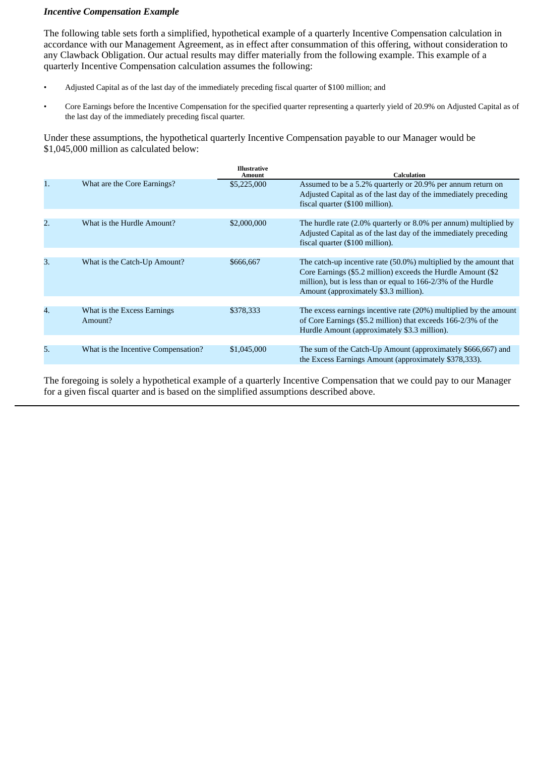### *Incentive Compensation Example*

The following table sets forth a simplified, hypothetical example of a quarterly Incentive Compensation calculation in accordance with our Management Agreement, as in effect after consummation of this offering, without consideration to any Clawback Obligation. Our actual results may differ materially from the following example. This example of a quarterly Incentive Compensation calculation assumes the following:

- Adjusted Capital as of the last day of the immediately preceding fiscal quarter of \$100 million; and
- Core Earnings before the Incentive Compensation for the specified quarter representing a quarterly yield of 20.9% on Adjusted Capital as of the last day of the immediately preceding fiscal quarter.

Under these assumptions, the hypothetical quarterly Incentive Compensation payable to our Manager would be \$1,045,000 million as calculated below:

|    |                                        | <b>Illustrative</b><br>Amount | <b>Calculation</b>                                                                                                                                                                                                                          |
|----|----------------------------------------|-------------------------------|---------------------------------------------------------------------------------------------------------------------------------------------------------------------------------------------------------------------------------------------|
| 1. | What are the Core Earnings?            | \$5,225,000                   | Assumed to be a 5.2% quarterly or 20.9% per annum return on<br>Adjusted Capital as of the last day of the immediately preceding<br>fiscal quarter (\$100 million).                                                                          |
|    |                                        |                               |                                                                                                                                                                                                                                             |
| 2. | What is the Hurdle Amount?             | \$2,000,000                   | The hurdle rate (2.0% quarterly or 8.0% per annum) multiplied by<br>Adjusted Capital as of the last day of the immediately preceding<br>fiscal quarter (\$100 million).                                                                     |
|    |                                        |                               |                                                                                                                                                                                                                                             |
| 3. | What is the Catch-Up Amount?           | \$666,667                     | The catch-up incentive rate (50.0%) multiplied by the amount that<br>Core Earnings (\$5.2 million) exceeds the Hurdle Amount (\$2<br>million), but is less than or equal to 166-2/3% of the Hurdle<br>Amount (approximately \$3.3 million). |
|    |                                        |                               |                                                                                                                                                                                                                                             |
| 4. | What is the Excess Earnings<br>Amount? | \$378,333                     | The excess earnings incentive rate (20%) multiplied by the amount<br>of Core Earnings (\$5.2 million) that exceeds 166-2/3% of the<br>Hurdle Amount (approximately \$3.3 million).                                                          |
|    |                                        |                               |                                                                                                                                                                                                                                             |
| 5. | What is the Incentive Compensation?    | \$1,045,000                   | The sum of the Catch-Up Amount (approximately \$666,667) and<br>the Excess Earnings Amount (approximately \$378,333).                                                                                                                       |

The foregoing is solely a hypothetical example of a quarterly Incentive Compensation that we could pay to our Manager for a given fiscal quarter and is based on the simplified assumptions described above.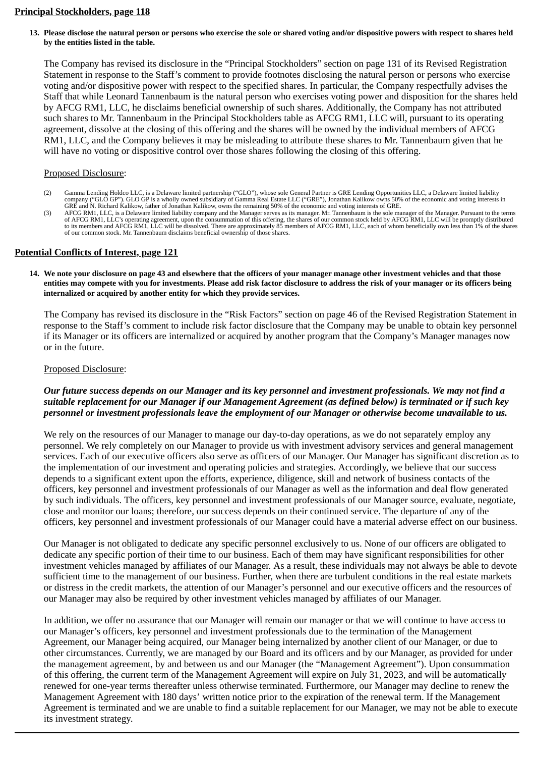### **Principal Stockholders, page 118**

13. Please disclose the natural person or persons who exercise the sole or shared voting and/or dispositive powers with respect to shares held **by the entities listed in the table.**

The Company has revised its disclosure in the "Principal Stockholders" section on page 131 of its Revised Registration Statement in response to the Staff's comment to provide footnotes disclosing the natural person or persons who exercise voting and/or dispositive power with respect to the specified shares. In particular, the Company respectfully advises the Staff that while Leonard Tannenbaum is the natural person who exercises voting power and disposition for the shares held by AFCG RM1, LLC, he disclaims beneficial ownership of such shares. Additionally, the Company has not attributed such shares to Mr. Tannenbaum in the Principal Stockholders table as AFCG RM1, LLC will, pursuant to its operating agreement, dissolve at the closing of this offering and the shares will be owned by the individual members of AFCG RM1, LLC, and the Company believes it may be misleading to attribute these shares to Mr. Tannenbaum given that he will have no voting or dispositive control over those shares following the closing of this offering.

#### Proposed Disclosure:

- (2) Gamma Lending Holdco LLC, is a Delaware limited partnership ("GLO"), whose sole General Partner is GRE Lending Opportunities LLC, a Delaware limited liability<br>company ("GLO GP"). GLO GP is a wholly owned subsidiary of
- GRE and N. Richard Kalikow, father of Jonathan Kalikow, owns the remaining 50% of the economic and voting interests of GRE.<br>AFCG RM1, LLC, is a Delaware limited liability company and the Manager serves as its manager. Mr. to its members and AFCG RM1, LLC will be dissolved. There are approximately 85 members of AFCG RM1, LLC, each of whom beneficially own less than 1% of the shares of our common stock. Mr. Tannenbaum disclaims beneficial ownership of those shares.

## **Potential Conflicts of Interest, page 121**

14. We note your disclosure on page 43 and elsewhere that the officers of your manager manage other investment vehicles and that those entities may compete with you for investments. Please add risk factor disclosure to address the risk of your manager or its officers being **internalized or acquired by another entity for which they provide services.**

The Company has revised its disclosure in the "Risk Factors" section on page 46 of the Revised Registration Statement in response to the Staff's comment to include risk factor disclosure that the Company may be unable to obtain key personnel if its Manager or its officers are internalized or acquired by another program that the Company's Manager manages now or in the future.

#### Proposed Disclosure:

### *Our future success depends on our Manager and its key personnel and investment professionals. We may not find a suitable replacement for our Manager if our Management Agreement (as defined below) is terminated or if such key personnel or investment professionals leave the employment of our Manager or otherwise become unavailable to us.*

We rely on the resources of our Manager to manage our day-to-day operations, as we do not separately employ any personnel. We rely completely on our Manager to provide us with investment advisory services and general management services. Each of our executive officers also serve as officers of our Manager. Our Manager has significant discretion as to the implementation of our investment and operating policies and strategies. Accordingly, we believe that our success depends to a significant extent upon the efforts, experience, diligence, skill and network of business contacts of the officers, key personnel and investment professionals of our Manager as well as the information and deal flow generated by such individuals. The officers, key personnel and investment professionals of our Manager source, evaluate, negotiate, close and monitor our loans; therefore, our success depends on their continued service. The departure of any of the officers, key personnel and investment professionals of our Manager could have a material adverse effect on our business.

Our Manager is not obligated to dedicate any specific personnel exclusively to us. None of our officers are obligated to dedicate any specific portion of their time to our business. Each of them may have significant responsibilities for other investment vehicles managed by affiliates of our Manager. As a result, these individuals may not always be able to devote sufficient time to the management of our business. Further, when there are turbulent conditions in the real estate markets or distress in the credit markets, the attention of our Manager's personnel and our executive officers and the resources of our Manager may also be required by other investment vehicles managed by affiliates of our Manager.

In addition, we offer no assurance that our Manager will remain our manager or that we will continue to have access to our Manager's officers, key personnel and investment professionals due to the termination of the Management Agreement, our Manager being acquired, our Manager being internalized by another client of our Manager, or due to other circumstances. Currently, we are managed by our Board and its officers and by our Manager, as provided for under the management agreement, by and between us and our Manager (the "Management Agreement"). Upon consummation of this offering, the current term of the Management Agreement will expire on July 31, 2023, and will be automatically renewed for one-year terms thereafter unless otherwise terminated. Furthermore, our Manager may decline to renew the Management Agreement with 180 days' written notice prior to the expiration of the renewal term. If the Management Agreement is terminated and we are unable to find a suitable replacement for our Manager, we may not be able to execute its investment strategy.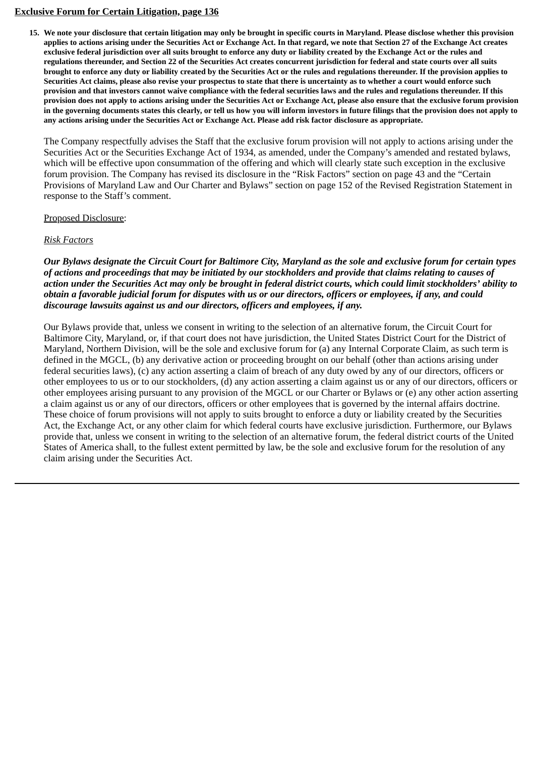## **Exclusive Forum for Certain Litigation, page 136**

15. We note your disclosure that certain litigation may only be brought in specific courts in Maryland. Please disclose whether this provision applies to actions arising under the Securities Act or Exchange Act. In that regard, we note that Section 27 of the Exchange Act creates exclusive federal jurisdiction over all suits brought to enforce any duty or liability created by the Exchange Act or the rules and regulations thereunder, and Section 22 of the Securities Act creates concurrent jurisdiction for federal and state courts over all suits brought to enforce any duty or liability created by the Securities Act or the rules and regulations thereunder. If the provision applies to Securities Act claims, please also revise your prospectus to state that there is uncertainty as to whether a court would enforce such provision and that investors cannot waive compliance with the federal securities laws and the rules and regulations thereunder. If this provision does not apply to actions arising under the Securities Act or Exchange Act, please also ensure that the exclusive forum provision in the governing documents states this clearly, or tell us how you will inform investors in future filings that the provision does not apply to any actions arising under the Securities Act or Exchange Act. Please add risk factor disclosure as appropriate.

The Company respectfully advises the Staff that the exclusive forum provision will not apply to actions arising under the Securities Act or the Securities Exchange Act of 1934, as amended, under the Company's amended and restated bylaws, which will be effective upon consummation of the offering and which will clearly state such exception in the exclusive forum provision. The Company has revised its disclosure in the "Risk Factors" section on page 43 and the "Certain Provisions of Maryland Law and Our Charter and Bylaws" section on page 152 of the Revised Registration Statement in response to the Staff's comment.

### Proposed Disclosure:

## *Risk Factors*

*Our Bylaws designate the Circuit Court for Baltimore City, Maryland as the sole and exclusive forum for certain types of actions and proceedings that may be initiated by our stockholders and provide that claims relating to causes of action under the Securities Act may only be brought in federal district courts, which could limit stockholders' ability to obtain a favorable judicial forum for disputes with us or our directors, officers or employees, if any, and could discourage lawsuits against us and our directors, officers and employees, if any.*

Our Bylaws provide that, unless we consent in writing to the selection of an alternative forum, the Circuit Court for Baltimore City, Maryland, or, if that court does not have jurisdiction, the United States District Court for the District of Maryland, Northern Division, will be the sole and exclusive forum for (a) any Internal Corporate Claim, as such term is defined in the MGCL, (b) any derivative action or proceeding brought on our behalf (other than actions arising under federal securities laws), (c) any action asserting a claim of breach of any duty owed by any of our directors, officers or other employees to us or to our stockholders, (d) any action asserting a claim against us or any of our directors, officers or other employees arising pursuant to any provision of the MGCL or our Charter or Bylaws or (e) any other action asserting a claim against us or any of our directors, officers or other employees that is governed by the internal affairs doctrine. These choice of forum provisions will not apply to suits brought to enforce a duty or liability created by the Securities Act, the Exchange Act, or any other claim for which federal courts have exclusive jurisdiction. Furthermore, our Bylaws provide that, unless we consent in writing to the selection of an alternative forum, the federal district courts of the United States of America shall, to the fullest extent permitted by law, be the sole and exclusive forum for the resolution of any claim arising under the Securities Act.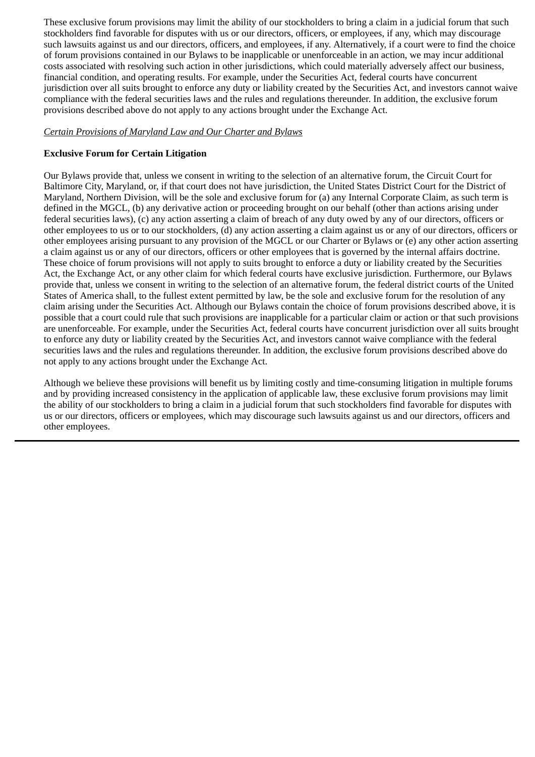These exclusive forum provisions may limit the ability of our stockholders to bring a claim in a judicial forum that such stockholders find favorable for disputes with us or our directors, officers, or employees, if any, which may discourage such lawsuits against us and our directors, officers, and employees, if any. Alternatively, if a court were to find the choice of forum provisions contained in our Bylaws to be inapplicable or unenforceable in an action, we may incur additional costs associated with resolving such action in other jurisdictions, which could materially adversely affect our business, financial condition, and operating results. For example, under the Securities Act, federal courts have concurrent jurisdiction over all suits brought to enforce any duty or liability created by the Securities Act, and investors cannot waive compliance with the federal securities laws and the rules and regulations thereunder. In addition, the exclusive forum provisions described above do not apply to any actions brought under the Exchange Act.

## *Certain Provisions of Maryland Law and Our Charter and Bylaws*

## **Exclusive Forum for Certain Litigation**

Our Bylaws provide that, unless we consent in writing to the selection of an alternative forum, the Circuit Court for Baltimore City, Maryland, or, if that court does not have jurisdiction, the United States District Court for the District of Maryland, Northern Division, will be the sole and exclusive forum for (a) any Internal Corporate Claim, as such term is defined in the MGCL, (b) any derivative action or proceeding brought on our behalf (other than actions arising under federal securities laws), (c) any action asserting a claim of breach of any duty owed by any of our directors, officers or other employees to us or to our stockholders, (d) any action asserting a claim against us or any of our directors, officers or other employees arising pursuant to any provision of the MGCL or our Charter or Bylaws or (e) any other action asserting a claim against us or any of our directors, officers or other employees that is governed by the internal affairs doctrine. These choice of forum provisions will not apply to suits brought to enforce a duty or liability created by the Securities Act, the Exchange Act, or any other claim for which federal courts have exclusive jurisdiction. Furthermore, our Bylaws provide that, unless we consent in writing to the selection of an alternative forum, the federal district courts of the United States of America shall, to the fullest extent permitted by law, be the sole and exclusive forum for the resolution of any claim arising under the Securities Act. Although our Bylaws contain the choice of forum provisions described above, it is possible that a court could rule that such provisions are inapplicable for a particular claim or action or that such provisions are unenforceable. For example, under the Securities Act, federal courts have concurrent jurisdiction over all suits brought to enforce any duty or liability created by the Securities Act, and investors cannot waive compliance with the federal securities laws and the rules and regulations thereunder. In addition, the exclusive forum provisions described above do not apply to any actions brought under the Exchange Act.

Although we believe these provisions will benefit us by limiting costly and time-consuming litigation in multiple forums and by providing increased consistency in the application of applicable law, these exclusive forum provisions may limit the ability of our stockholders to bring a claim in a judicial forum that such stockholders find favorable for disputes with us or our directors, officers or employees, which may discourage such lawsuits against us and our directors, officers and other employees.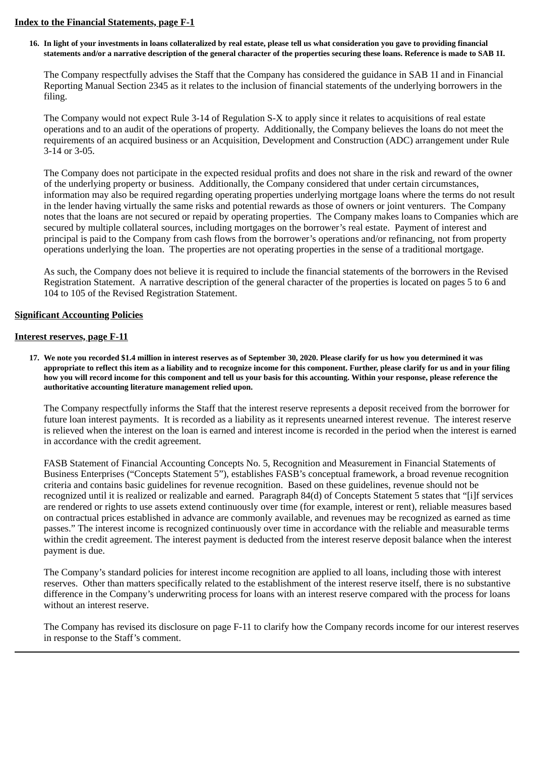### **Index to the Financial Statements, page F-1**

16. In light of your investments in loans collateralized by real estate, please tell us what consideration you gave to providing financial statements and/or a narrative description of the general character of the properties securing these loans. Reference is made to SAB 11.

The Company respectfully advises the Staff that the Company has considered the guidance in SAB 1I and in Financial Reporting Manual Section 2345 as it relates to the inclusion of financial statements of the underlying borrowers in the filing.

The Company would not expect Rule 3-14 of Regulation S-X to apply since it relates to acquisitions of real estate operations and to an audit of the operations of property. Additionally, the Company believes the loans do not meet the requirements of an acquired business or an Acquisition, Development and Construction (ADC) arrangement under Rule 3-14 or 3-05.

The Company does not participate in the expected residual profits and does not share in the risk and reward of the owner of the underlying property or business. Additionally, the Company considered that under certain circumstances, information may also be required regarding operating properties underlying mortgage loans where the terms do not result in the lender having virtually the same risks and potential rewards as those of owners or joint venturers. The Company notes that the loans are not secured or repaid by operating properties. The Company makes loans to Companies which are secured by multiple collateral sources, including mortgages on the borrower's real estate. Payment of interest and principal is paid to the Company from cash flows from the borrower's operations and/or refinancing, not from property operations underlying the loan. The properties are not operating properties in the sense of a traditional mortgage.

As such, the Company does not believe it is required to include the financial statements of the borrowers in the Revised Registration Statement. A narrative description of the general character of the properties is located on pages 5 to 6 and 104 to 105 of the Revised Registration Statement.

#### **Significant Accounting Policies**

#### **Interest reserves, page F-11**

17. We note you recorded \$1.4 million in interest reserves as of September 30, 2020. Please clarify for us how you determined it was appropriate to reflect this item as a liability and to recognize income for this component. Further, please clarify for us and in your filing how you will record income for this component and tell us your basis for this accounting. Within your response, please reference the **authoritative accounting literature management relied upon.**

The Company respectfully informs the Staff that the interest reserve represents a deposit received from the borrower for future loan interest payments. It is recorded as a liability as it represents unearned interest revenue. The interest reserve is relieved when the interest on the loan is earned and interest income is recorded in the period when the interest is earned in accordance with the credit agreement.

FASB Statement of Financial Accounting Concepts No. 5, Recognition and Measurement in Financial Statements of Business Enterprises ("Concepts Statement 5"), establishes FASB's conceptual framework, a broad revenue recognition criteria and contains basic guidelines for revenue recognition. Based on these guidelines, revenue should not be recognized until it is realized or realizable and earned. Paragraph 84(d) of Concepts Statement 5 states that "[i]f services are rendered or rights to use assets extend continuously over time (for example, interest or rent), reliable measures based on contractual prices established in advance are commonly available, and revenues may be recognized as earned as time passes." The interest income is recognized continuously over time in accordance with the reliable and measurable terms within the credit agreement. The interest payment is deducted from the interest reserve deposit balance when the interest payment is due.

The Company's standard policies for interest income recognition are applied to all loans, including those with interest reserves. Other than matters specifically related to the establishment of the interest reserve itself, there is no substantive difference in the Company's underwriting process for loans with an interest reserve compared with the process for loans without an interest reserve.

The Company has revised its disclosure on page F-11 to clarify how the Company records income for our interest reserves in response to the Staff's comment.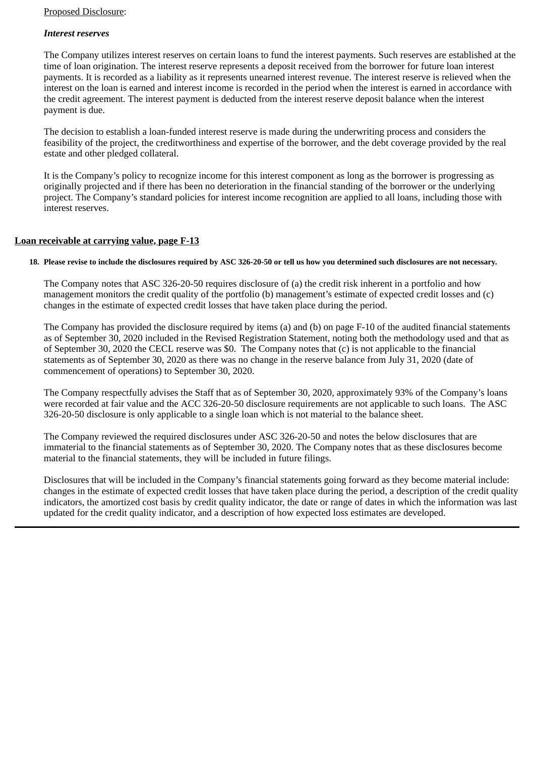## *Interest reserves*

The Company utilizes interest reserves on certain loans to fund the interest payments. Such reserves are established at the time of loan origination. The interest reserve represents a deposit received from the borrower for future loan interest payments. It is recorded as a liability as it represents unearned interest revenue. The interest reserve is relieved when the interest on the loan is earned and interest income is recorded in the period when the interest is earned in accordance with the credit agreement. The interest payment is deducted from the interest reserve deposit balance when the interest payment is due.

The decision to establish a loan-funded interest reserve is made during the underwriting process and considers the feasibility of the project, the creditworthiness and expertise of the borrower, and the debt coverage provided by the real estate and other pledged collateral.

It is the Company's policy to recognize income for this interest component as long as the borrower is progressing as originally projected and if there has been no deterioration in the financial standing of the borrower or the underlying project. The Company's standard policies for interest income recognition are applied to all loans, including those with interest reserves.

## **Loan receivable at carrying value, page F-13**

### 18. Please revise to include the disclosures required by ASC 326-20-50 or tell us how you determined such disclosures are not necessary.

The Company notes that ASC 326-20-50 requires disclosure of (a) the credit risk inherent in a portfolio and how management monitors the credit quality of the portfolio (b) management's estimate of expected credit losses and (c) changes in the estimate of expected credit losses that have taken place during the period.

The Company has provided the disclosure required by items (a) and (b) on page F-10 of the audited financial statements as of September 30, 2020 included in the Revised Registration Statement, noting both the methodology used and that as of September 30, 2020 the CECL reserve was \$0. The Company notes that (c) is not applicable to the financial statements as of September 30, 2020 as there was no change in the reserve balance from July 31, 2020 (date of commencement of operations) to September 30, 2020.

The Company respectfully advises the Staff that as of September 30, 2020, approximately 93% of the Company's loans were recorded at fair value and the ACC 326-20-50 disclosure requirements are not applicable to such loans. The ASC 326-20-50 disclosure is only applicable to a single loan which is not material to the balance sheet.

The Company reviewed the required disclosures under ASC 326-20-50 and notes the below disclosures that are immaterial to the financial statements as of September 30, 2020. The Company notes that as these disclosures become material to the financial statements, they will be included in future filings.

Disclosures that will be included in the Company's financial statements going forward as they become material include: changes in the estimate of expected credit losses that have taken place during the period, a description of the credit quality indicators, the amortized cost basis by credit quality indicator, the date or range of dates in which the information was last updated for the credit quality indicator, and a description of how expected loss estimates are developed.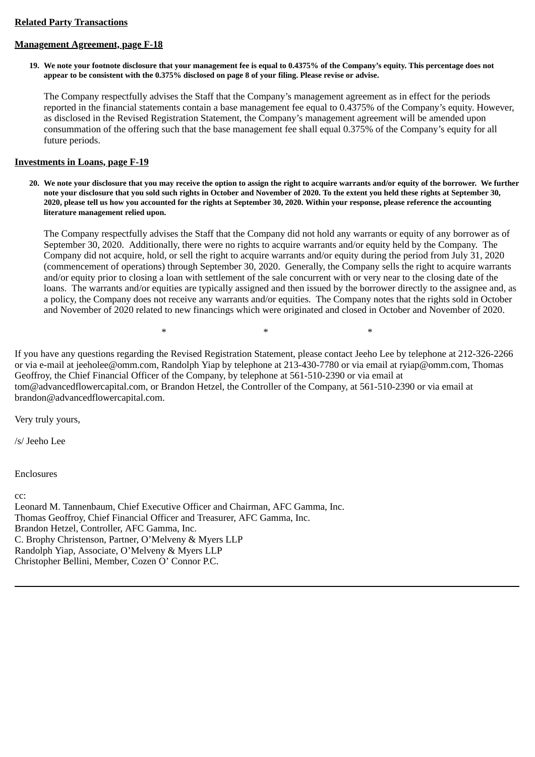### **Related Party Transactions**

# **Management Agreement, page F-18**

19. We note your footnote disclosure that your management fee is equal to 0.4375% of the Company's equity. This percentage does not appear to be consistent with the 0.375% disclosed on page 8 of your filing. Please revise or advise.

The Company respectfully advises the Staff that the Company's management agreement as in effect for the periods reported in the financial statements contain a base management fee equal to 0.4375% of the Company's equity. However, as disclosed in the Revised Registration Statement, the Company's management agreement will be amended upon consummation of the offering such that the base management fee shall equal 0.375% of the Company's equity for all future periods.

# **Investments in Loans, page F-19**

20. We note your disclosure that you may receive the option to assign the right to acquire warrants and/or equity of the borrower. We further note your disclosure that you sold such rights in October and November of 2020. To the extent you held these rights at September 30, 2020, please tell us how you accounted for the rights at September 30, 2020. Within your response, please reference the accounting **literature management relied upon.**

The Company respectfully advises the Staff that the Company did not hold any warrants or equity of any borrower as of September 30, 2020. Additionally, there were no rights to acquire warrants and/or equity held by the Company. The Company did not acquire, hold, or sell the right to acquire warrants and/or equity during the period from July 31, 2020 (commencement of operations) through September 30, 2020. Generally, the Company sells the right to acquire warrants and/or equity prior to closing a loan with settlement of the sale concurrent with or very near to the closing date of the loans. The warrants and/or equities are typically assigned and then issued by the borrower directly to the assignee and, as a policy, the Company does not receive any warrants and/or equities. The Company notes that the rights sold in October and November of 2020 related to new financings which were originated and closed in October and November of 2020.

 $*$  \*  $*$  \*  $*$ 

If you have any questions regarding the Revised Registration Statement, please contact Jeeho Lee by telephone at 212-326-2266 or via e-mail at jeeholee@omm.com, Randolph Yiap by telephone at 213-430-7780 or via email at ryiap@omm.com, Thomas Geoffroy, the Chief Financial Officer of the Company, by telephone at 561-510-2390 or via email at tom@advancedflowercapital.com, or Brandon Hetzel, the Controller of the Company, at 561-510-2390 or via email at brandon@advancedflowercapital.com.

Very truly yours,

/s/ Jeeho Lee

Enclosures

 $cc$ 

Leonard M. Tannenbaum, Chief Executive Officer and Chairman, AFC Gamma, Inc. Thomas Geoffroy, Chief Financial Officer and Treasurer, AFC Gamma, Inc. Brandon Hetzel, Controller, AFC Gamma, Inc. C. Brophy Christenson, Partner, O'Melveny & Myers LLP Randolph Yiap, Associate, O'Melveny & Myers LLP Christopher Bellini, Member, Cozen O' Connor P.C.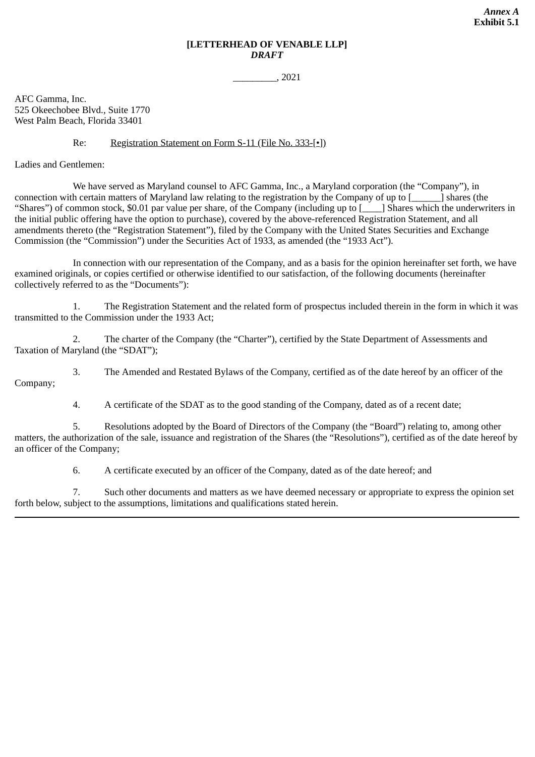# **[LETTERHEAD OF VENABLE LLP]** *DRAFT*

\_\_\_\_\_\_\_\_\_, 2021

AFC Gamma, Inc. 525 Okeechobee Blvd., Suite 1770 West Palm Beach, Florida 33401

### Re: Registration Statement on Form S-11 (File No. 333-[•])

Ladies and Gentlemen:

We have served as Maryland counsel to AFC Gamma, Inc., a Maryland corporation (the "Company"), in connection with certain matters of Maryland law relating to the registration by the Company of up to [\_\_\_\_\_\_] shares (the "Shares") of common stock, \$0.01 par value per share, of the Company (including up to [\_\_\_\_] Shares which the underwriters in the initial public offering have the option to purchase), covered by the above-referenced Registration Statement, and all amendments thereto (the "Registration Statement"), filed by the Company with the United States Securities and Exchange Commission (the "Commission") under the Securities Act of 1933, as amended (the "1933 Act").

In connection with our representation of the Company, and as a basis for the opinion hereinafter set forth, we have examined originals, or copies certified or otherwise identified to our satisfaction, of the following documents (hereinafter collectively referred to as the "Documents"):

1. The Registration Statement and the related form of prospectus included therein in the form in which it was transmitted to the Commission under the 1933 Act;

2. The charter of the Company (the "Charter"), certified by the State Department of Assessments and Taxation of Maryland (the "SDAT");

3. The Amended and Restated Bylaws of the Company, certified as of the date hereof by an officer of the Company;

4. A certificate of the SDAT as to the good standing of the Company, dated as of a recent date;

5. Resolutions adopted by the Board of Directors of the Company (the "Board") relating to, among other matters, the authorization of the sale, issuance and registration of the Shares (the "Resolutions"), certified as of the date hereof by an officer of the Company;

6. A certificate executed by an officer of the Company, dated as of the date hereof; and

7. Such other documents and matters as we have deemed necessary or appropriate to express the opinion set forth below, subject to the assumptions, limitations and qualifications stated herein.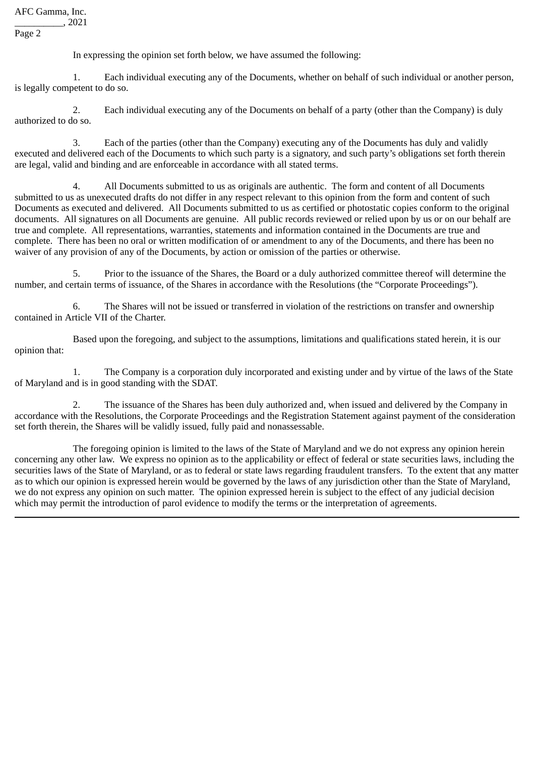AFC Gamma, Inc.

\_\_\_\_\_\_\_\_\_\_, 2021

Page 2

In expressing the opinion set forth below, we have assumed the following:

1. Each individual executing any of the Documents, whether on behalf of such individual or another person, is legally competent to do so.

2. Each individual executing any of the Documents on behalf of a party (other than the Company) is duly authorized to do so.

3. Each of the parties (other than the Company) executing any of the Documents has duly and validly executed and delivered each of the Documents to which such party is a signatory, and such party's obligations set forth therein are legal, valid and binding and are enforceable in accordance with all stated terms.

4. All Documents submitted to us as originals are authentic. The form and content of all Documents submitted to us as unexecuted drafts do not differ in any respect relevant to this opinion from the form and content of such Documents as executed and delivered. All Documents submitted to us as certified or photostatic copies conform to the original documents. All signatures on all Documents are genuine. All public records reviewed or relied upon by us or on our behalf are true and complete. All representations, warranties, statements and information contained in the Documents are true and complete. There has been no oral or written modification of or amendment to any of the Documents, and there has been no waiver of any provision of any of the Documents, by action or omission of the parties or otherwise.

5. Prior to the issuance of the Shares, the Board or a duly authorized committee thereof will determine the number, and certain terms of issuance, of the Shares in accordance with the Resolutions (the "Corporate Proceedings").

6. The Shares will not be issued or transferred in violation of the restrictions on transfer and ownership contained in Article VII of the Charter.

Based upon the foregoing, and subject to the assumptions, limitations and qualifications stated herein, it is our opinion that:

1. The Company is a corporation duly incorporated and existing under and by virtue of the laws of the State of Maryland and is in good standing with the SDAT.

2. The issuance of the Shares has been duly authorized and, when issued and delivered by the Company in accordance with the Resolutions, the Corporate Proceedings and the Registration Statement against payment of the consideration set forth therein, the Shares will be validly issued, fully paid and nonassessable.

The foregoing opinion is limited to the laws of the State of Maryland and we do not express any opinion herein concerning any other law. We express no opinion as to the applicability or effect of federal or state securities laws, including the securities laws of the State of Maryland, or as to federal or state laws regarding fraudulent transfers. To the extent that any matter as to which our opinion is expressed herein would be governed by the laws of any jurisdiction other than the State of Maryland, we do not express any opinion on such matter. The opinion expressed herein is subject to the effect of any judicial decision which may permit the introduction of parol evidence to modify the terms or the interpretation of agreements.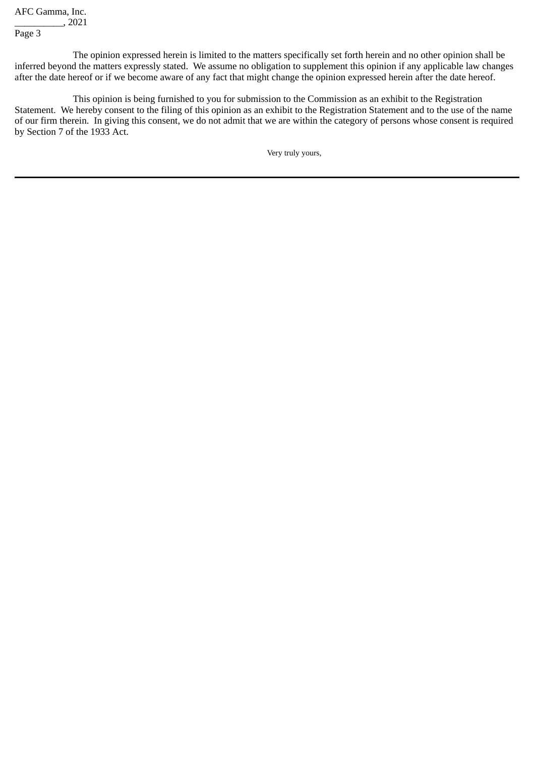AFC Gamma, Inc.

\_\_\_\_\_\_\_\_\_\_, 2021

Page 3

The opinion expressed herein is limited to the matters specifically set forth herein and no other opinion shall be inferred beyond the matters expressly stated. We assume no obligation to supplement this opinion if any applicable law changes after the date hereof or if we become aware of any fact that might change the opinion expressed herein after the date hereof.

This opinion is being furnished to you for submission to the Commission as an exhibit to the Registration Statement. We hereby consent to the filing of this opinion as an exhibit to the Registration Statement and to the use of the name of our firm therein. In giving this consent, we do not admit that we are within the category of persons whose consent is required by Section 7 of the 1933 Act.

Very truly yours,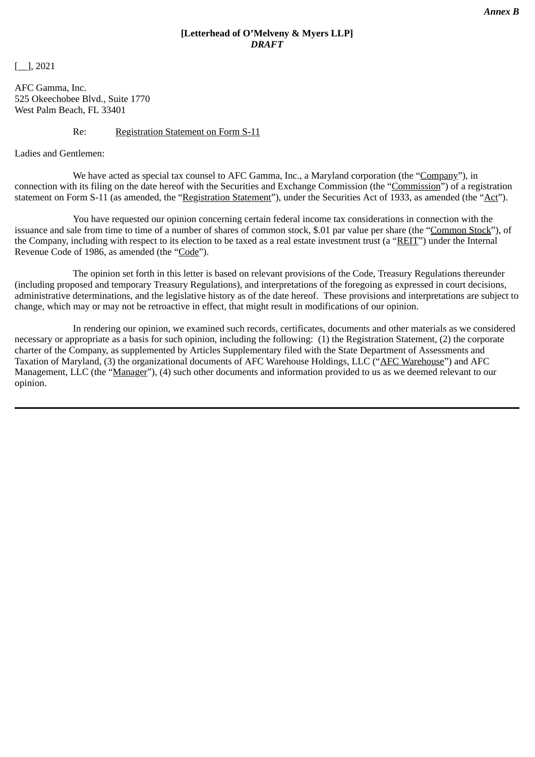# **[Letterhead of O'Melveny & Myers LLP]** *DRAFT*

[\_\_], 2021

AFC Gamma, Inc. 525 Okeechobee Blvd., Suite 1770 West Palm Beach, FL 33401

## Re: Registration Statement on Form S-11

Ladies and Gentlemen:

We have acted as special tax counsel to AFC Gamma, Inc., a Maryland corporation (the "Company"), in connection with its filing on the date hereof with the Securities and Exchange Commission (the "Commission") of a registration statement on Form S-11 (as amended, the "Registration Statement"), under the Securities Act of 1933, as amended (the "Act").

You have requested our opinion concerning certain federal income tax considerations in connection with the issuance and sale from time to time of a number of shares of common stock, \$.01 par value per share (the "Common Stock"), of the Company, including with respect to its election to be taxed as a real estate investment trust (a "REIT") under the Internal Revenue Code of 1986, as amended (the "Code").

The opinion set forth in this letter is based on relevant provisions of the Code, Treasury Regulations thereunder (including proposed and temporary Treasury Regulations), and interpretations of the foregoing as expressed in court decisions, administrative determinations, and the legislative history as of the date hereof. These provisions and interpretations are subject to change, which may or may not be retroactive in effect, that might result in modifications of our opinion.

In rendering our opinion, we examined such records, certificates, documents and other materials as we considered necessary or appropriate as a basis for such opinion, including the following: (1) the Registration Statement, (2) the corporate charter of the Company, as supplemented by Articles Supplementary filed with the State Department of Assessments and Taxation of Maryland, (3) the organizational documents of AFC Warehouse Holdings, LLC ("AFC Warehouse") and AFC Management, LLC (the "Manager"), (4) such other documents and information provided to us as we deemed relevant to our opinion.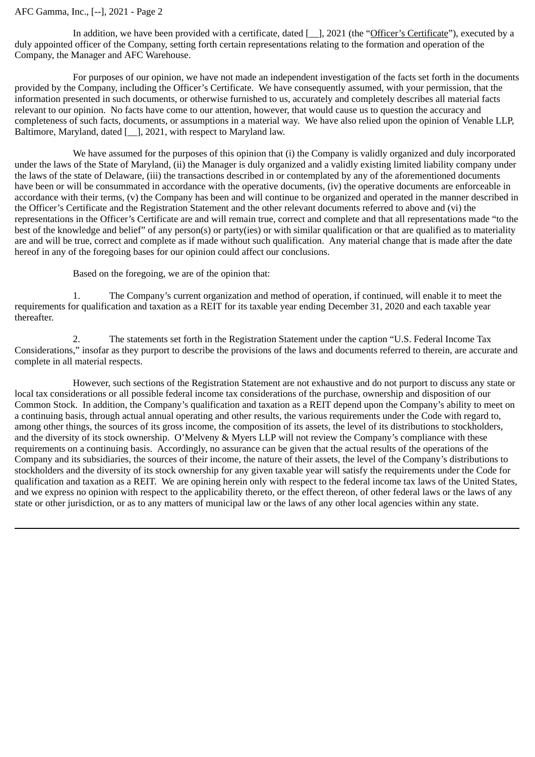### AFC Gamma, Inc., [--], 2021 - Page 2

In addition, we have been provided with a certificate, dated [ $\parallel$ ], 2021 (the "Officer's Certificate"), executed by a duly appointed officer of the Company, setting forth certain representations relating to the formation and operation of the Company, the Manager and AFC Warehouse.

For purposes of our opinion, we have not made an independent investigation of the facts set forth in the documents provided by the Company, including the Officer's Certificate. We have consequently assumed, with your permission, that the information presented in such documents, or otherwise furnished to us, accurately and completely describes all material facts relevant to our opinion. No facts have come to our attention, however, that would cause us to question the accuracy and completeness of such facts, documents, or assumptions in a material way. We have also relied upon the opinion of Venable LLP, Baltimore, Maryland, dated [\_], 2021, with respect to Maryland law.

We have assumed for the purposes of this opinion that (i) the Company is validly organized and duly incorporated under the laws of the State of Maryland, (ii) the Manager is duly organized and a validly existing limited liability company under the laws of the state of Delaware, (iii) the transactions described in or contemplated by any of the aforementioned documents have been or will be consummated in accordance with the operative documents, (iv) the operative documents are enforceable in accordance with their terms, (v) the Company has been and will continue to be organized and operated in the manner described in the Officer's Certificate and the Registration Statement and the other relevant documents referred to above and (vi) the representations in the Officer's Certificate are and will remain true, correct and complete and that all representations made "to the best of the knowledge and belief" of any person(s) or party(ies) or with similar qualification or that are qualified as to materiality are and will be true, correct and complete as if made without such qualification. Any material change that is made after the date hereof in any of the foregoing bases for our opinion could affect our conclusions.

Based on the foregoing, we are of the opinion that:

1. The Company's current organization and method of operation, if continued, will enable it to meet the requirements for qualification and taxation as a REIT for its taxable year ending December 31, 2020 and each taxable year thereafter.

2. The statements set forth in the Registration Statement under the caption "U.S. Federal Income Tax Considerations," insofar as they purport to describe the provisions of the laws and documents referred to therein, are accurate and complete in all material respects.

However, such sections of the Registration Statement are not exhaustive and do not purport to discuss any state or local tax considerations or all possible federal income tax considerations of the purchase, ownership and disposition of our Common Stock. In addition, the Company's qualification and taxation as a REIT depend upon the Company's ability to meet on a continuing basis, through actual annual operating and other results, the various requirements under the Code with regard to, among other things, the sources of its gross income, the composition of its assets, the level of its distributions to stockholders, and the diversity of its stock ownership. O'Melveny & Myers LLP will not review the Company's compliance with these requirements on a continuing basis. Accordingly, no assurance can be given that the actual results of the operations of the Company and its subsidiaries, the sources of their income, the nature of their assets, the level of the Company's distributions to stockholders and the diversity of its stock ownership for any given taxable year will satisfy the requirements under the Code for qualification and taxation as a REIT. We are opining herein only with respect to the federal income tax laws of the United States, and we express no opinion with respect to the applicability thereto, or the effect thereon, of other federal laws or the laws of any state or other jurisdiction, or as to any matters of municipal law or the laws of any other local agencies within any state.